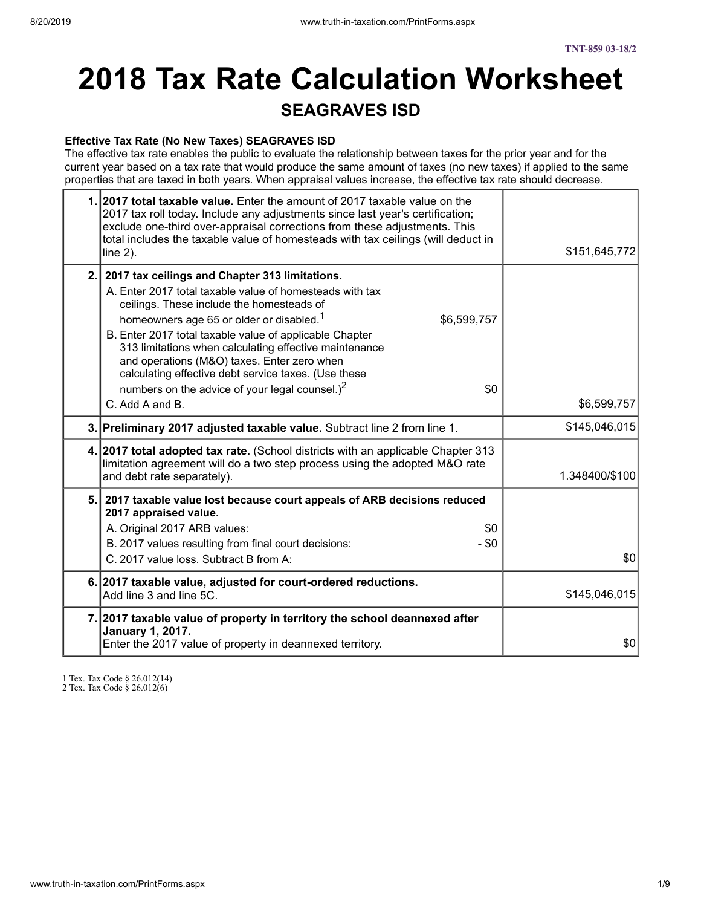# **2018 Tax Rate Calculation Worksheet SEAGRAVES ISD**

#### **Effective Tax Rate (No New Taxes) SEAGRAVES ISD**

The effective tax rate enables the public to evaluate the relationship between taxes for the prior year and for the current year based on a tax rate that would produce the same amount of taxes (no new taxes) if applied to the same properties that are taxed in both years. When appraisal values increase, the effective tax rate should decrease.

| 1. 2017 total taxable value. Enter the amount of 2017 taxable value on the<br>2017 tax roll today. Include any adjustments since last year's certification;<br>exclude one-third over-appraisal corrections from these adjustments. This<br>total includes the taxable value of homesteads with tax ceilings (will deduct in<br>line $2$ ).                                                                                                                                                                                                           | \$151,645,772  |
|-------------------------------------------------------------------------------------------------------------------------------------------------------------------------------------------------------------------------------------------------------------------------------------------------------------------------------------------------------------------------------------------------------------------------------------------------------------------------------------------------------------------------------------------------------|----------------|
| 2. 2017 tax ceilings and Chapter 313 limitations.<br>A. Enter 2017 total taxable value of homesteads with tax<br>ceilings. These include the homesteads of<br>homeowners age 65 or older or disabled. <sup>1</sup><br>\$6,599,757<br>B. Enter 2017 total taxable value of applicable Chapter<br>313 limitations when calculating effective maintenance<br>and operations (M&O) taxes. Enter zero when<br>calculating effective debt service taxes. (Use these<br>numbers on the advice of your legal counsel.) <sup>2</sup><br>\$0<br>C. Add A and B. | \$6,599,757    |
| 3. Preliminary 2017 adjusted taxable value. Subtract line 2 from line 1.                                                                                                                                                                                                                                                                                                                                                                                                                                                                              | \$145,046,015  |
| 4. 2017 total adopted tax rate. (School districts with an applicable Chapter 313<br>limitation agreement will do a two step process using the adopted M&O rate<br>and debt rate separately).                                                                                                                                                                                                                                                                                                                                                          | 1.348400/\$100 |
| 5. 2017 taxable value lost because court appeals of ARB decisions reduced<br>2017 appraised value.<br>A. Original 2017 ARB values:<br>\$0<br>B. 2017 values resulting from final court decisions:<br>- \$0<br>C. 2017 value loss. Subtract B from A:                                                                                                                                                                                                                                                                                                  | \$0            |
| 6. 2017 taxable value, adjusted for court-ordered reductions.<br>Add line 3 and line 5C.                                                                                                                                                                                                                                                                                                                                                                                                                                                              | \$145,046,015  |
| 7. 2017 taxable value of property in territory the school deannexed after<br><b>January 1, 2017.</b><br>Enter the 2017 value of property in deannexed territory.                                                                                                                                                                                                                                                                                                                                                                                      | \$0            |

1 Tex. Tax Code § 26.012(14)

2 Tex. Tax Code § 26.012(6)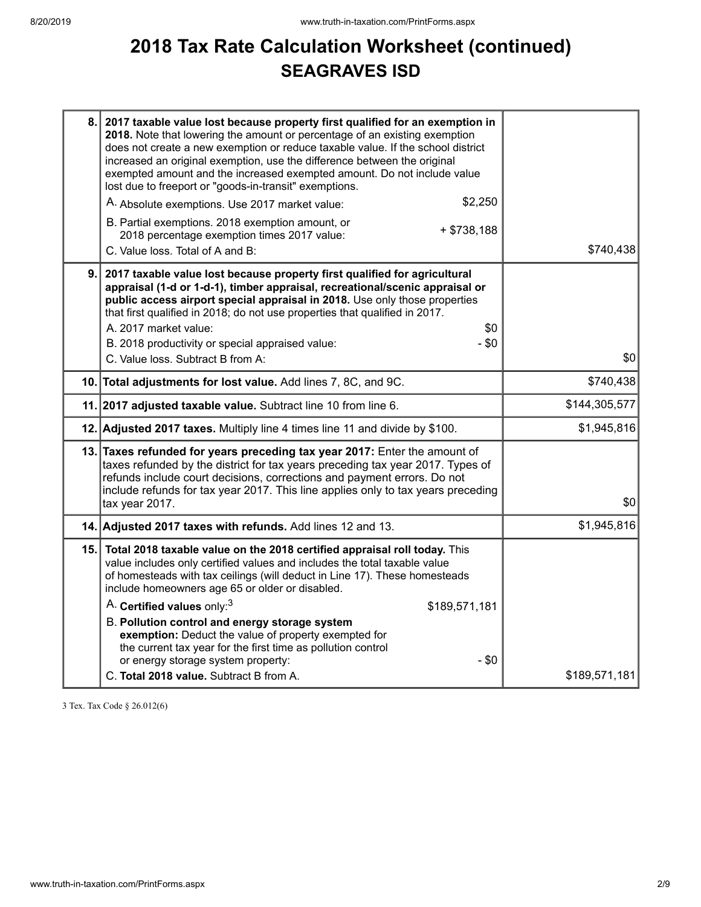## **2018 Tax Rate Calculation Worksheet (continued) SEAGRAVES ISD**

| 8. 2017 taxable value lost because property first qualified for an exemption in<br>2018. Note that lowering the amount or percentage of an existing exemption<br>does not create a new exemption or reduce taxable value. If the school district<br>increased an original exemption, use the difference between the original<br>exempted amount and the increased exempted amount. Do not include value<br>lost due to freeport or "goods-in-transit" exemptions.<br>\$2,250<br>A. Absolute exemptions. Use 2017 market value:<br>B. Partial exemptions. 2018 exemption amount, or<br>$+ $738,188$<br>2018 percentage exemption times 2017 value:<br>C. Value loss. Total of A and B: | \$740,438     |
|---------------------------------------------------------------------------------------------------------------------------------------------------------------------------------------------------------------------------------------------------------------------------------------------------------------------------------------------------------------------------------------------------------------------------------------------------------------------------------------------------------------------------------------------------------------------------------------------------------------------------------------------------------------------------------------|---------------|
| 9. 2017 taxable value lost because property first qualified for agricultural<br>appraisal (1-d or 1-d-1), timber appraisal, recreational/scenic appraisal or<br>public access airport special appraisal in 2018. Use only those properties<br>that first qualified in 2018; do not use properties that qualified in 2017.<br>A. 2017 market value:<br>\$0<br>B. 2018 productivity or special appraised value:<br>$- $0$<br>C. Value loss. Subtract B from A:                                                                                                                                                                                                                          | \$0           |
| 10. Total adjustments for lost value. Add lines 7, 8C, and 9C.                                                                                                                                                                                                                                                                                                                                                                                                                                                                                                                                                                                                                        | \$740,438     |
| 11. 2017 adjusted taxable value. Subtract line 10 from line 6.                                                                                                                                                                                                                                                                                                                                                                                                                                                                                                                                                                                                                        | \$144,305,577 |
| 12. Adjusted 2017 taxes. Multiply line 4 times line 11 and divide by \$100.                                                                                                                                                                                                                                                                                                                                                                                                                                                                                                                                                                                                           | \$1,945,816   |
| 13. Taxes refunded for years preceding tax year 2017: Enter the amount of<br>taxes refunded by the district for tax years preceding tax year 2017. Types of<br>refunds include court decisions, corrections and payment errors. Do not<br>include refunds for tax year 2017. This line applies only to tax years preceding<br>tax year 2017.                                                                                                                                                                                                                                                                                                                                          | \$0           |
| 14. Adjusted 2017 taxes with refunds. Add lines 12 and 13.                                                                                                                                                                                                                                                                                                                                                                                                                                                                                                                                                                                                                            | \$1,945,816   |
| 15. Total 2018 taxable value on the 2018 certified appraisal roll today. This<br>value includes only certified values and includes the total taxable value<br>of homesteads with tax ceilings (will deduct in Line 17). These homesteads<br>include homeowners age 65 or older or disabled.<br>A. Certified values only: <sup>3</sup><br>\$189,571,181<br>B. Pollution control and energy storage system<br>exemption: Deduct the value of property exempted for<br>the current tax year for the first time as pollution control<br>or energy storage system property:<br>$-$ \$0<br>C. Total 2018 value. Subtract B from A.                                                          | \$189,571,181 |

3 Tex. Tax Code § 26.012(6)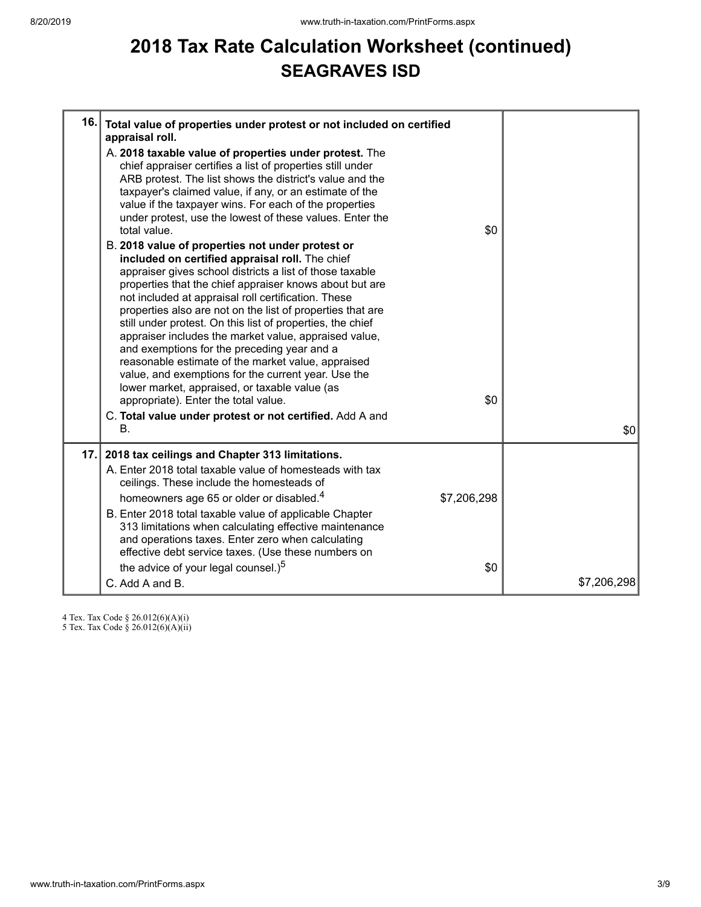## **2018 Tax Rate Calculation Worksheet (continued) SEAGRAVES ISD**

| 16. | Total value of properties under protest or not included on certified<br>appraisal roll.<br>A. 2018 taxable value of properties under protest. The<br>chief appraiser certifies a list of properties still under<br>ARB protest. The list shows the district's value and the<br>taxpayer's claimed value, if any, or an estimate of the<br>value if the taxpayer wins. For each of the properties<br>under protest, use the lowest of these values. Enter the<br>total value.<br>B. 2018 value of properties not under protest or<br>included on certified appraisal roll. The chief<br>appraiser gives school districts a list of those taxable<br>properties that the chief appraiser knows about but are<br>not included at appraisal roll certification. These<br>properties also are not on the list of properties that are<br>still under protest. On this list of properties, the chief<br>appraiser includes the market value, appraised value,<br>and exemptions for the preceding year and a<br>reasonable estimate of the market value, appraised<br>value, and exemptions for the current year. Use the<br>lower market, appraised, or taxable value (as<br>appropriate). Enter the total value. | \$0<br>\$0  |             |
|-----|-------------------------------------------------------------------------------------------------------------------------------------------------------------------------------------------------------------------------------------------------------------------------------------------------------------------------------------------------------------------------------------------------------------------------------------------------------------------------------------------------------------------------------------------------------------------------------------------------------------------------------------------------------------------------------------------------------------------------------------------------------------------------------------------------------------------------------------------------------------------------------------------------------------------------------------------------------------------------------------------------------------------------------------------------------------------------------------------------------------------------------------------------------------------------------------------------------------|-------------|-------------|
|     | C. Total value under protest or not certified. Add A and<br>В.                                                                                                                                                                                                                                                                                                                                                                                                                                                                                                                                                                                                                                                                                                                                                                                                                                                                                                                                                                                                                                                                                                                                              |             | \$0         |
| 17. | 2018 tax ceilings and Chapter 313 limitations.<br>A. Enter 2018 total taxable value of homesteads with tax<br>ceilings. These include the homesteads of<br>homeowners age 65 or older or disabled. <sup>4</sup><br>B. Enter 2018 total taxable value of applicable Chapter<br>313 limitations when calculating effective maintenance<br>and operations taxes. Enter zero when calculating<br>effective debt service taxes. (Use these numbers on                                                                                                                                                                                                                                                                                                                                                                                                                                                                                                                                                                                                                                                                                                                                                            | \$7,206,298 |             |
|     | the advice of your legal counsel.) <sup>5</sup><br>C. Add A and B.                                                                                                                                                                                                                                                                                                                                                                                                                                                                                                                                                                                                                                                                                                                                                                                                                                                                                                                                                                                                                                                                                                                                          | \$0         | \$7,206,298 |

4 Tex. Tax Code § 26.012(6)(A)(i)

5 Tex. Tax Code § 26.012(6)(A)(ii)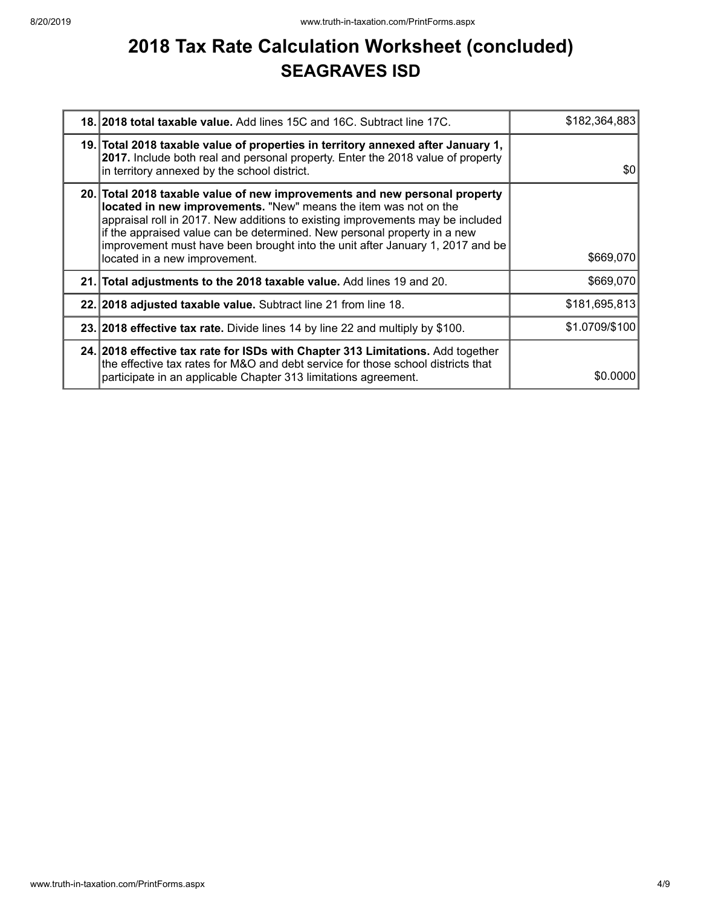## **2018 Tax Rate Calculation Worksheet (concluded) SEAGRAVES ISD**

| 18. 2018 total taxable value. Add lines 15C and 16C. Subtract line 17C.                                                                                                                                                                                                                                                                                                                                                        | \$182,364,883  |
|--------------------------------------------------------------------------------------------------------------------------------------------------------------------------------------------------------------------------------------------------------------------------------------------------------------------------------------------------------------------------------------------------------------------------------|----------------|
| 19. Total 2018 taxable value of properties in territory annexed after January 1,<br>2017. Include both real and personal property. Enter the 2018 value of property<br>in territory annexed by the school district.                                                                                                                                                                                                            | \$0            |
| 20. Total 2018 taxable value of new improvements and new personal property<br>located in new improvements. "New" means the item was not on the<br>appraisal roll in 2017. New additions to existing improvements may be included<br>if the appraised value can be determined. New personal property in a new<br>improvement must have been brought into the unit after January 1, 2017 and be<br>located in a new improvement. | \$669,070      |
| 21. Total adjustments to the 2018 taxable value. Add lines 19 and 20.                                                                                                                                                                                                                                                                                                                                                          | \$669,070      |
| 22. 2018 adjusted taxable value. Subtract line 21 from line 18.                                                                                                                                                                                                                                                                                                                                                                | \$181,695,813  |
| 23. 2018 effective tax rate. Divide lines 14 by line 22 and multiply by \$100.                                                                                                                                                                                                                                                                                                                                                 | \$1.0709/\$100 |
| 24. 2018 effective tax rate for ISDs with Chapter 313 Limitations. Add together<br>the effective tax rates for M&O and debt service for those school districts that<br>participate in an applicable Chapter 313 limitations agreement.                                                                                                                                                                                         | \$0,0000       |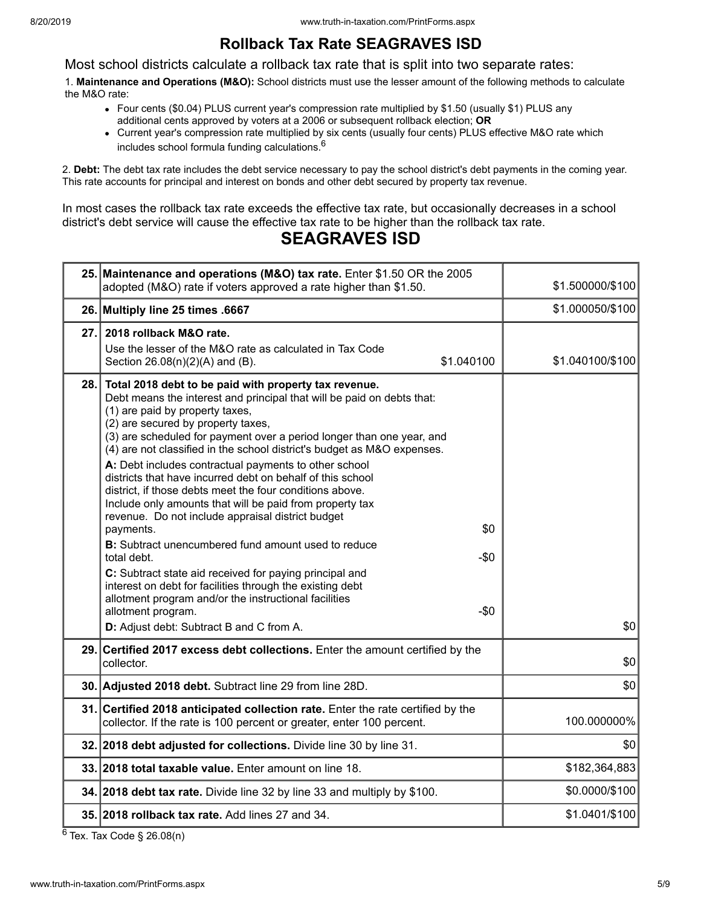### **Rollback Tax Rate SEAGRAVES ISD**

Most school districts calculate a rollback tax rate that is split into two separate rates:

1. **Maintenance and Operations (M&O):** School districts must use the lesser amount of the following methods to calculate the M&O rate:

- Four cents (\$0.04) PLUS current year's compression rate multiplied by \$1.50 (usually \$1) PLUS any additional cents approved by voters at a 2006 or subsequent rollback election; **OR**
- Current year's compression rate multiplied by six cents (usually four cents) PLUS effective M&O rate which includes school formula funding calculations.<sup>6</sup>

2. **Debt:** The debt tax rate includes the debt service necessary to pay the school district's debt payments in the coming year. This rate accounts for principal and interest on bonds and other debt secured by property tax revenue.

In most cases the rollback tax rate exceeds the effective tax rate, but occasionally decreases in a school district's debt service will cause the effective tax rate to be higher than the rollback tax rate.

### **SEAGRAVES ISD**

|      | 25. Maintenance and operations (M&O) tax rate. Enter \$1.50 OR the 2005<br>adopted (M&O) rate if voters approved a rate higher than \$1.50.                                                                                                                                                                                                                                                                                                                                                                                                                                                                                                                                                                                                                                                                                                                                                                                                                                                                                              | \$1.500000/\$100 |
|------|------------------------------------------------------------------------------------------------------------------------------------------------------------------------------------------------------------------------------------------------------------------------------------------------------------------------------------------------------------------------------------------------------------------------------------------------------------------------------------------------------------------------------------------------------------------------------------------------------------------------------------------------------------------------------------------------------------------------------------------------------------------------------------------------------------------------------------------------------------------------------------------------------------------------------------------------------------------------------------------------------------------------------------------|------------------|
|      | 26. Multiply line 25 times .6667                                                                                                                                                                                                                                                                                                                                                                                                                                                                                                                                                                                                                                                                                                                                                                                                                                                                                                                                                                                                         | \$1.000050/\$100 |
| 27.1 | 2018 rollback M&O rate.<br>Use the lesser of the M&O rate as calculated in Tax Code<br>\$1.040100<br>Section 26.08(n)(2)(A) and (B).                                                                                                                                                                                                                                                                                                                                                                                                                                                                                                                                                                                                                                                                                                                                                                                                                                                                                                     | \$1.040100/\$100 |
| 28.  | Total 2018 debt to be paid with property tax revenue.<br>Debt means the interest and principal that will be paid on debts that:<br>(1) are paid by property taxes,<br>(2) are secured by property taxes,<br>(3) are scheduled for payment over a period longer than one year, and<br>(4) are not classified in the school district's budget as M&O expenses.<br>A: Debt includes contractual payments to other school<br>districts that have incurred debt on behalf of this school<br>district, if those debts meet the four conditions above.<br>Include only amounts that will be paid from property tax<br>revenue. Do not include appraisal district budget<br>\$0<br>payments.<br><b>B:</b> Subtract unencumbered fund amount used to reduce<br>$-\$0$<br>total debt.<br>C: Subtract state aid received for paying principal and<br>interest on debt for facilities through the existing debt<br>allotment program and/or the instructional facilities<br>allotment program.<br>$-\$0$<br>D: Adjust debt: Subtract B and C from A. | \$0              |
|      | 29. Certified 2017 excess debt collections. Enter the amount certified by the<br>collector.                                                                                                                                                                                                                                                                                                                                                                                                                                                                                                                                                                                                                                                                                                                                                                                                                                                                                                                                              | \$0              |
|      | 30. Adjusted 2018 debt. Subtract line 29 from line 28D.                                                                                                                                                                                                                                                                                                                                                                                                                                                                                                                                                                                                                                                                                                                                                                                                                                                                                                                                                                                  | \$0              |
|      | 31. Certified 2018 anticipated collection rate. Enter the rate certified by the<br>collector. If the rate is 100 percent or greater, enter 100 percent.                                                                                                                                                                                                                                                                                                                                                                                                                                                                                                                                                                                                                                                                                                                                                                                                                                                                                  | 100.000000%      |
|      | 32. 2018 debt adjusted for collections. Divide line 30 by line 31.                                                                                                                                                                                                                                                                                                                                                                                                                                                                                                                                                                                                                                                                                                                                                                                                                                                                                                                                                                       | \$0              |
|      | 33. 2018 total taxable value. Enter amount on line 18.                                                                                                                                                                                                                                                                                                                                                                                                                                                                                                                                                                                                                                                                                                                                                                                                                                                                                                                                                                                   | \$182,364,883    |
|      | 34. 2018 debt tax rate. Divide line 32 by line 33 and multiply by \$100.                                                                                                                                                                                                                                                                                                                                                                                                                                                                                                                                                                                                                                                                                                                                                                                                                                                                                                                                                                 | \$0.0000/\$100   |
|      | 35. 2018 rollback tax rate. Add lines 27 and 34.                                                                                                                                                                                                                                                                                                                                                                                                                                                                                                                                                                                                                                                                                                                                                                                                                                                                                                                                                                                         | \$1.0401/\$100   |

 $6$  Tex. Tax Code § 26.08(n)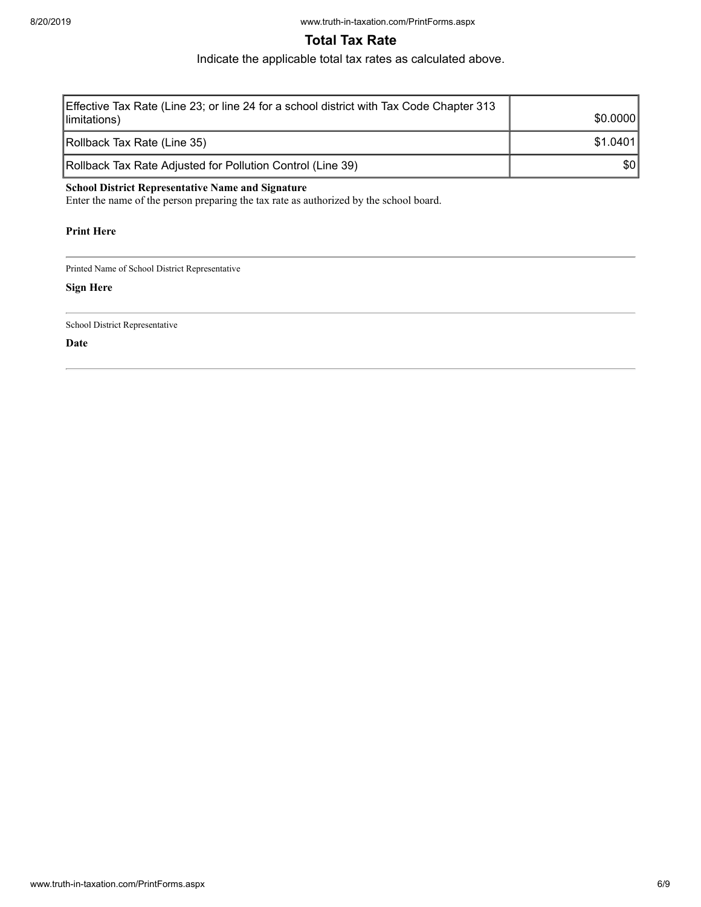### **Total Tax Rate**

Indicate the applicable total tax rates as calculated above.

| Effective Tax Rate (Line 23; or line 24 for a school district with Tax Code Chapter 313<br>limitations) | \$0,0000 |
|---------------------------------------------------------------------------------------------------------|----------|
| Rollback Tax Rate (Line 35)                                                                             | \$1.0401 |
| Rollback Tax Rate Adjusted for Pollution Control (Line 39)                                              | \$0      |

#### **School District Representative Name and Signature**

Enter the name of the person preparing the tax rate as authorized by the school board.

#### **Print Here**

Printed Name of School District Representative

#### **Sign Here**

School District Representative

**Date**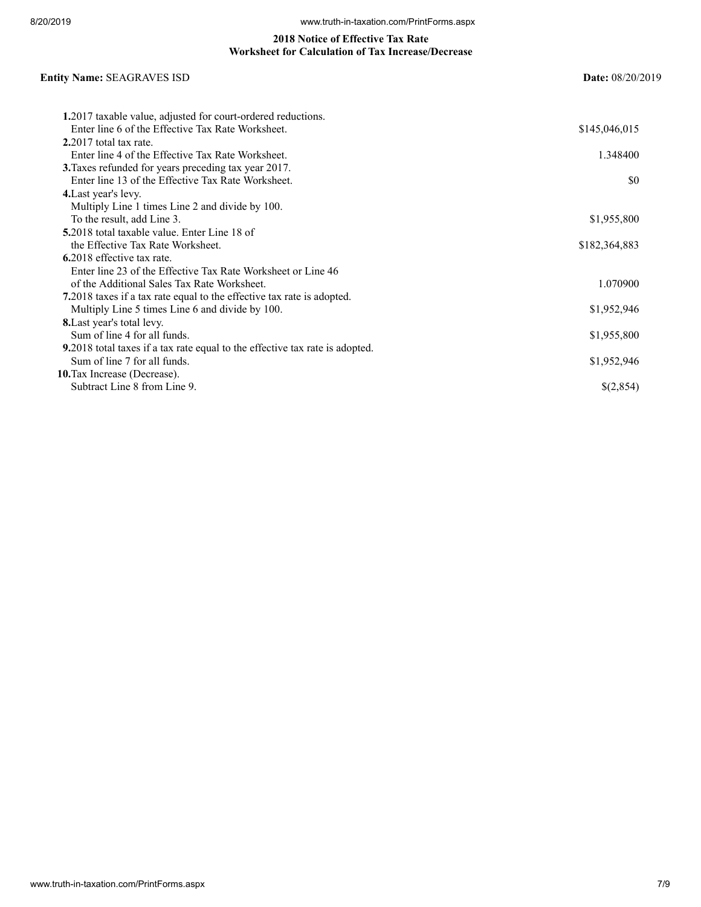#### **2018 Notice of Effective Tax Rate Worksheet for Calculation of Tax Increase/Decrease**

#### **Entity Name:** SEAGRAVES ISD **Date:** 08/20/2019

| 1.2017 taxable value, adjusted for court-ordered reductions.                         |               |
|--------------------------------------------------------------------------------------|---------------|
| Enter line 6 of the Effective Tax Rate Worksheet.                                    | \$145,046,015 |
| $2.2017$ total tax rate.                                                             |               |
| Enter line 4 of the Effective Tax Rate Worksheet.                                    | 1.348400      |
| 3. Taxes refunded for years preceding tax year 2017.                                 |               |
| Enter line 13 of the Effective Tax Rate Worksheet.                                   | SO.           |
| 4. Last year's levy.                                                                 |               |
| Multiply Line 1 times Line 2 and divide by 100.                                      |               |
| To the result, add Line 3.                                                           | \$1,955,800   |
| <b>5.2018</b> total taxable value. Enter Line 18 of                                  |               |
| the Effective Tax Rate Worksheet.                                                    | \$182,364,883 |
| 6.2018 effective tax rate.                                                           |               |
| Enter line 23 of the Effective Tax Rate Worksheet or Line 46                         |               |
| of the Additional Sales Tax Rate Worksheet.                                          | 1.070900      |
| 7.2018 taxes if a tax rate equal to the effective tax rate is adopted.               |               |
| Multiply Line 5 times Line 6 and divide by 100.                                      | \$1,952,946   |
| <b>8.</b> Last year's total levy.                                                    |               |
| Sum of line 4 for all funds.                                                         | \$1,955,800   |
| <b>9.</b> 2018 total taxes if a tax rate equal to the effective tax rate is adopted. |               |
| Sum of line 7 for all funds.                                                         | \$1,952,946   |
| 10. Tax Increase (Decrease).                                                         |               |
| Subtract Line 8 from Line 9.                                                         | \$(2,854)     |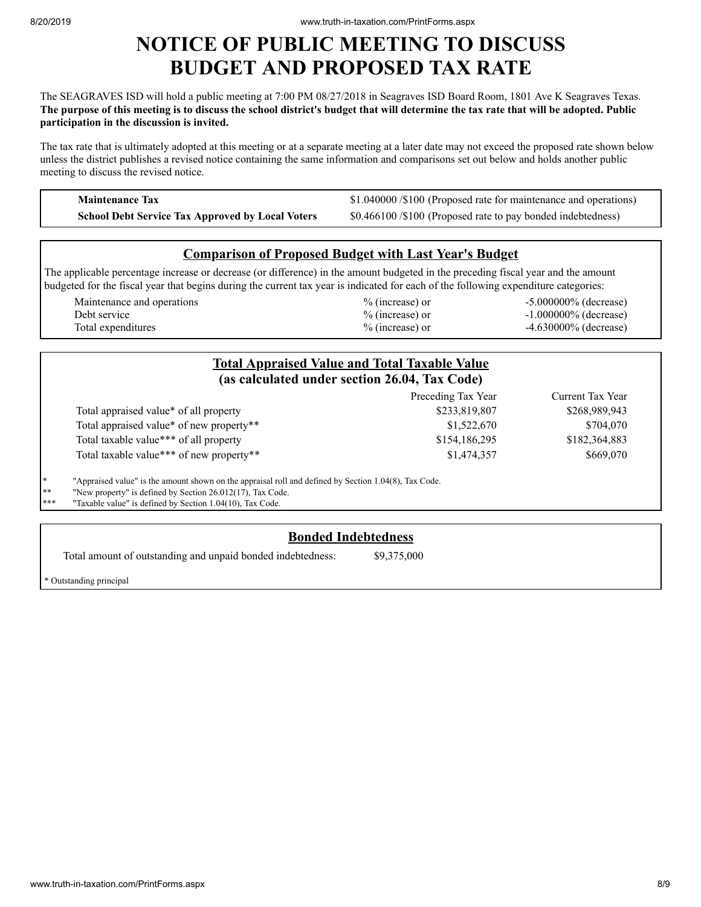### **NOTICE OF PUBLIC MEETING TO DISCUSS BUDGET AND PROPOSED TAX RATE**

The SEAGRAVES ISD will hold a public meeting at 7:00 PM 08/27/2018 in Seagraves ISD Board Room, 1801 Ave K Seagraves Texas. The purpose of this meeting is to discuss the school district's budget that will determine the tax rate that will be adopted. Public **participation in the discussion is invited.**

The tax rate that is ultimately adopted at this meeting or at a separate meeting at a later date may not exceed the proposed rate shown below unless the district publishes a revised notice containing the same information and comparisons set out below and holds another public meeting to discuss the revised notice.

**Maintenance Tax \$1.040000 /\$100 (Proposed rate for maintenance and operations) School Debt Service Tax Approved by Local Voters** \$0.466100 /\$100 (Proposed rate to pay bonded indebtedness)

#### **Comparison of Proposed Budget with Last Year's Budget**

The applicable percentage increase or decrease (or difference) in the amount budgeted in the preceding fiscal year and the amount budgeted for the fiscal year that begins during the current tax year is indicated for each of the following expenditure categories:

| Maintenance and operations | $\%$ (increase) or | $-5.000000\%$ (decrease) |
|----------------------------|--------------------|--------------------------|
| Debt service               | % (increase) or    | $-1.000000\%$ (decrease) |
| Total expenditures         | $%$ (increase) or  | $-4.630000\%$ (decrease) |

|    |                                                                                                       | <b>Total Appraised Value and Total Taxable Value</b><br>(as calculated under section 26.04, Tax Code) |                  |
|----|-------------------------------------------------------------------------------------------------------|-------------------------------------------------------------------------------------------------------|------------------|
|    |                                                                                                       | Preceding Tax Year                                                                                    | Current Tax Year |
|    | Total appraised value* of all property                                                                | \$233,819,807                                                                                         | \$268,989,943    |
|    | Total appraised value* of new property**                                                              | \$1,522,670                                                                                           | \$704,070        |
|    | Total taxable value*** of all property                                                                | \$154,186,295                                                                                         | \$182,364,883    |
|    | Total taxable value*** of new property**                                                              | \$1,474,357                                                                                           | \$669,070        |
| ∗  | "Appraised value" is the amount shown on the appraisal roll and defined by Section 1.04(8), Tax Code. |                                                                                                       |                  |
| ∗∗ | "New property" is defined by Section 26.012(17), Tax Code.                                            |                                                                                                       |                  |

"Taxable value" is defined by Section  $1.04(10)$ , Tax Code.

#### **Bonded Indebtedness**

Total amount of outstanding and unpaid bonded indebtedness: \$9,375,000

\* Outstanding principal